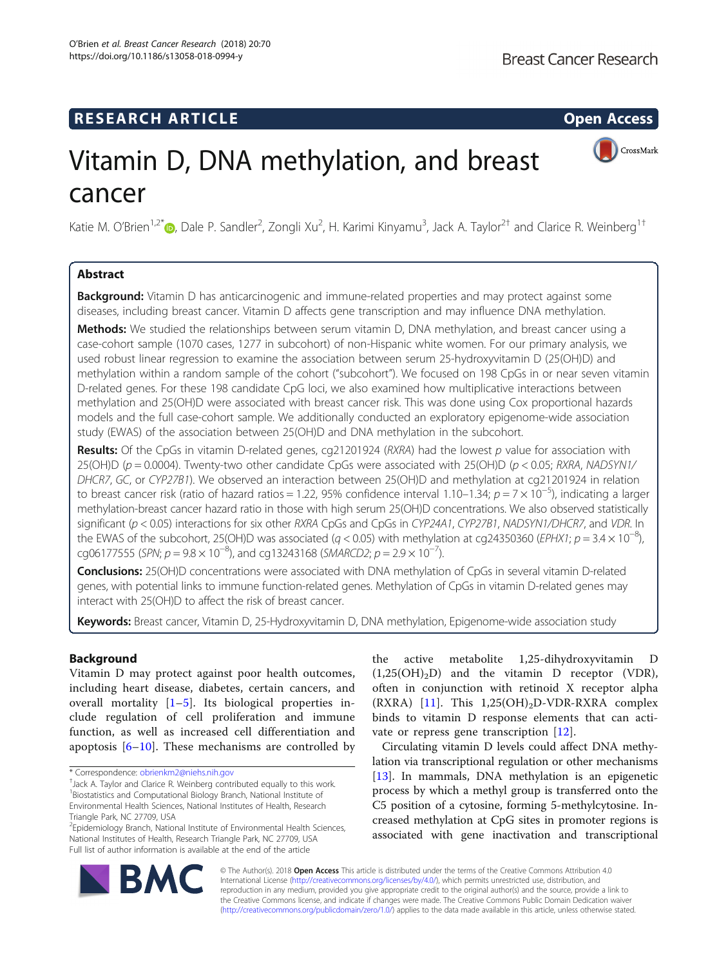## **RESEARCH ARTICLE Example 2014 CONSIDERING CONSIDERING CONSIDERING CONSIDERING CONSIDERING CONSIDERING CONSIDERING CONSIDERING CONSIDERING CONSIDERING CONSIDERING CONSIDERING CONSIDERING CONSIDERING CONSIDERING CONSIDE**



# Vitamin D, DNA methylation, and breast cancer

Katie M. O'Brien<sup>1,2[\\*](http://orcid.org/0000-0002-1931-1349)</sup>®, Dale P. Sandler<sup>2</sup>, Zongli Xu<sup>2</sup>, H. Karimi Kinyamu<sup>3</sup>, Jack A. Taylor<sup>2†</sup> and Clarice R. Weinberg<sup>1†</sup>

## Abstract

Background: Vitamin D has anticarcinogenic and immune-related properties and may protect against some diseases, including breast cancer. Vitamin D affects gene transcription and may influence DNA methylation.

**Methods:** We studied the relationships between serum vitamin D, DNA methylation, and breast cancer using a case-cohort sample (1070 cases, 1277 in subcohort) of non-Hispanic white women. For our primary analysis, we used robust linear regression to examine the association between serum 25-hydroxyvitamin D (25(OH)D) and methylation within a random sample of the cohort ("subcohort"). We focused on 198 CpGs in or near seven vitamin D-related genes. For these 198 candidate CpG loci, we also examined how multiplicative interactions between methylation and 25(OH)D were associated with breast cancer risk. This was done using Cox proportional hazards models and the full case-cohort sample. We additionally conducted an exploratory epigenome-wide association study (EWAS) of the association between 25(OH)D and DNA methylation in the subcohort.

Results: Of the CpGs in vitamin D-related genes, cg21201924 (RXRA) had the lowest p value for association with 25(OH)D ( $p = 0.0004$ ). Twenty-two other candidate CpGs were associated with 25(OH)D ( $p < 0.05$ ; RXRA, NADSYN1/ DHCR7, GC, or CYP27B1). We observed an interaction between 25(OH)D and methylation at cg21201924 in relation to breast cancer risk (ratio of hazard ratios = 1.22, 95% confidence interval 1.10–1.34;  $p = 7 \times 10^{-5}$ ), indicating a larger methylation-breast cancer hazard ratio in those with high serum 25(OH)D concentrations. We also observed statistically significant (p < 0.05) interactions for six other RXRA CpGs and CpGs in CYP24A1, CYP27B1, NADSYN1/DHCR7, and VDR. In the EWAS of the subcohort, 25(OH)D was associated ( $q$  < 0.05) with methylation at cg24350360 (EPHX1;  $p = 3.4 \times 10^{-8}$ ), cg06177555 (SPN;  $p = 9.8 \times 10^{-8}$ ), and cg13243168 (SMARCD2;  $p = 2.9 \times 10^{-7}$ ).

Conclusions: 25(OH)D concentrations were associated with DNA methylation of CpGs in several vitamin D-related genes, with potential links to immune function-related genes. Methylation of CpGs in vitamin D-related genes may interact with 25(OH)D to affect the risk of breast cancer.

Keywords: Breast cancer, Vitamin D, 25-Hydroxyvitamin D, DNA methylation, Epigenome-wide association study

## Background

Vitamin D may protect against poor health outcomes, including heart disease, diabetes, certain cancers, and overall mortality  $[1-5]$  $[1-5]$  $[1-5]$  $[1-5]$ . Its biological properties include regulation of cell proliferation and immune function, as well as increased cell differentiation and apoptosis  $[6–10]$  $[6–10]$  $[6–10]$  $[6–10]$  $[6–10]$ . These mechanisms are controlled by

the active metabolite 1,25-dihydroxyvitamin D  $(1,25(OH)_2D)$  and the vitamin D receptor (VDR), often in conjunction with retinoid X receptor alpha  $(RXRA)$  [\[11](#page-9-0)]. This 1,25(OH)<sub>2</sub>D-VDR-RXRA complex binds to vitamin D response elements that can activate or repress gene transcription [[12\]](#page-9-0).

Circulating vitamin D levels could affect DNA methylation via transcriptional regulation or other mechanisms [[13\]](#page-9-0). In mammals, DNA methylation is an epigenetic process by which a methyl group is transferred onto the C5 position of a cytosine, forming 5-methylcytosine. Increased methylation at CpG sites in promoter regions is associated with gene inactivation and transcriptional



© The Author(s). 2018 Open Access This article is distributed under the terms of the Creative Commons Attribution 4.0 International License [\(http://creativecommons.org/licenses/by/4.0/](http://creativecommons.org/licenses/by/4.0/)), which permits unrestricted use, distribution, and reproduction in any medium, provided you give appropriate credit to the original author(s) and the source, provide a link to the Creative Commons license, and indicate if changes were made. The Creative Commons Public Domain Dedication waiver [\(http://creativecommons.org/publicdomain/zero/1.0/](http://creativecommons.org/publicdomain/zero/1.0/)) applies to the data made available in this article, unless otherwise stated.

<sup>\*</sup> Correspondence: [obrienkm2@niehs.nih.gov](mailto:obrienkm2@niehs.nih.gov) †

<sup>&</sup>lt;sup>+</sup>Jack A. Taylor and Clarice R. Weinberg contributed equally to this work. <sup>1</sup> Biostatistics and Computational Biology Branch, National Institute of Environmental Health Sciences, National Institutes of Health, Research Triangle Park, NC 27709, USA

<sup>&</sup>lt;sup>2</sup>Epidemiology Branch, National Institute of Environmental Health Sciences, National Institutes of Health, Research Triangle Park, NC 27709, USA Full list of author information is available at the end of the article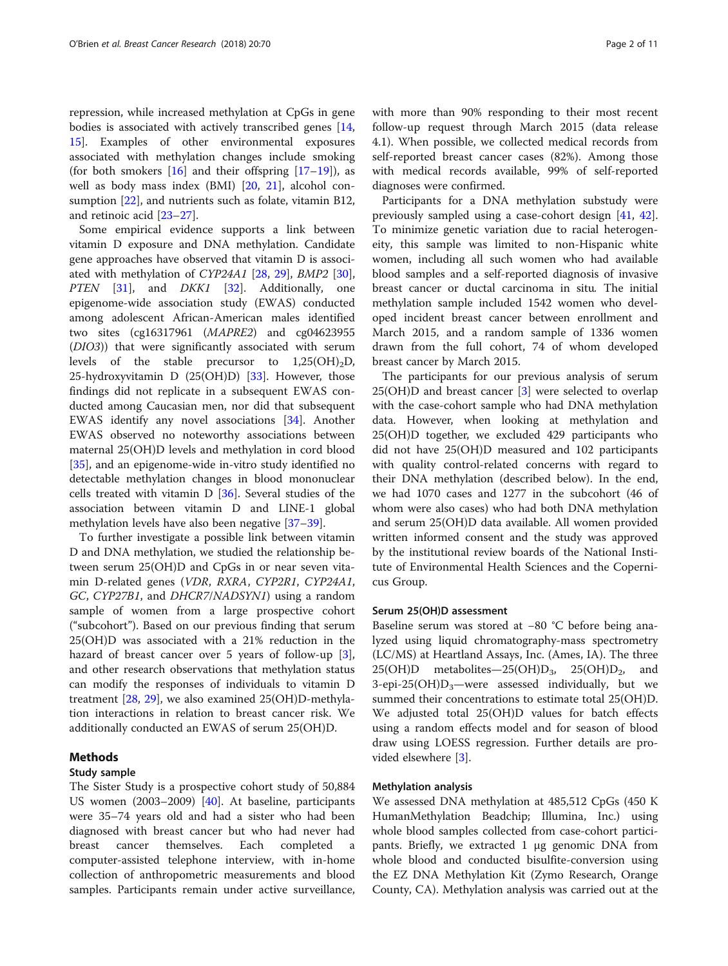repression, while increased methylation at CpGs in gene bodies is associated with actively transcribed genes [[14](#page-9-0), [15\]](#page-9-0). Examples of other environmental exposures associated with methylation changes include smoking (for both smokers  $[16]$  $[16]$  and their offspring  $[17–19]$  $[17–19]$  $[17–19]$  $[17–19]$  $[17–19]$ ), as well as body mass index (BMI) [[20,](#page-9-0) [21\]](#page-9-0), alcohol consumption [[22\]](#page-10-0), and nutrients such as folate, vitamin B12, and retinoic acid [[23](#page-10-0)–[27](#page-10-0)].

Some empirical evidence supports a link between vitamin D exposure and DNA methylation. Candidate gene approaches have observed that vitamin D is associated with methylation of CYP24A1 [[28,](#page-10-0) [29](#page-10-0)], BMP2 [\[30](#page-10-0)], PTEN [\[31](#page-10-0)], and *DKK1* [\[32](#page-10-0)]. Additionally, one epigenome-wide association study (EWAS) conducted among adolescent African-American males identified two sites (cg16317961 (MAPRE2) and cg04623955 (DIO3)) that were significantly associated with serum levels of the stable precursor to  $1,25(OH)_{2}D$ , 25-hydroxyvitamin D  $(25(OH)D)$  [[33\]](#page-10-0). However, those findings did not replicate in a subsequent EWAS conducted among Caucasian men, nor did that subsequent EWAS identify any novel associations [[34\]](#page-10-0). Another EWAS observed no noteworthy associations between maternal 25(OH)D levels and methylation in cord blood [[35\]](#page-10-0), and an epigenome-wide in-vitro study identified no detectable methylation changes in blood mononuclear cells treated with vitamin D [\[36](#page-10-0)]. Several studies of the association between vitamin D and LINE-1 global methylation levels have also been negative [[37](#page-10-0)–[39](#page-10-0)].

To further investigate a possible link between vitamin D and DNA methylation, we studied the relationship between serum 25(OH)D and CpGs in or near seven vitamin D-related genes (VDR, RXRA, CYP2R1, CYP24A1, GC, CYP27B1, and DHCR7/NADSYN1) using a random sample of women from a large prospective cohort ("subcohort"). Based on our previous finding that serum 25(OH)D was associated with a 21% reduction in the hazard of breast cancer over 5 years of follow-up [\[3](#page-9-0)], and other research observations that methylation status can modify the responses of individuals to vitamin D treatment [[28,](#page-10-0) [29\]](#page-10-0), we also examined 25(OH)D-methylation interactions in relation to breast cancer risk. We additionally conducted an EWAS of serum 25(OH)D.

## Methods

## Study sample

The Sister Study is a prospective cohort study of 50,884 US women (2003–2009) [[40\]](#page-10-0). At baseline, participants were 35–74 years old and had a sister who had been diagnosed with breast cancer but who had never had breast cancer themselves. Each completed computer-assisted telephone interview, with in-home collection of anthropometric measurements and blood samples. Participants remain under active surveillance,

with more than 90% responding to their most recent follow-up request through March 2015 (data release 4.1). When possible, we collected medical records from self-reported breast cancer cases (82%). Among those with medical records available, 99% of self-reported diagnoses were confirmed.

Participants for a DNA methylation substudy were previously sampled using a case-cohort design [\[41](#page-10-0), [42](#page-10-0)]. To minimize genetic variation due to racial heterogeneity, this sample was limited to non-Hispanic white women, including all such women who had available blood samples and a self-reported diagnosis of invasive breast cancer or ductal carcinoma in situ. The initial methylation sample included 1542 women who developed incident breast cancer between enrollment and March 2015, and a random sample of 1336 women drawn from the full cohort, 74 of whom developed breast cancer by March 2015.

The participants for our previous analysis of serum 25(OH)D and breast cancer [[3\]](#page-9-0) were selected to overlap with the case-cohort sample who had DNA methylation data. However, when looking at methylation and 25(OH)D together, we excluded 429 participants who did not have 25(OH)D measured and 102 participants with quality control-related concerns with regard to their DNA methylation (described below). In the end, we had 1070 cases and 1277 in the subcohort (46 of whom were also cases) who had both DNA methylation and serum 25(OH)D data available. All women provided written informed consent and the study was approved by the institutional review boards of the National Institute of Environmental Health Sciences and the Copernicus Group.

### Serum 25(OH)D assessment

Baseline serum was stored at −80 °C before being analyzed using liquid chromatography-mass spectrometry (LC/MS) at Heartland Assays, Inc. (Ames, IA). The three  $25(OH)D$  metabolites— $25(OH)D_3$ ,  $25(OH)D_2$ , and 3-epi-25(OH) $D_3$ —were assessed individually, but we summed their concentrations to estimate total 25(OH)D. We adjusted total 25(OH)D values for batch effects using a random effects model and for season of blood draw using LOESS regression. Further details are provided elsewhere [\[3](#page-9-0)].

## Methylation analysis

We assessed DNA methylation at 485,512 CpGs (450 K HumanMethylation Beadchip; Illumina, Inc.) using whole blood samples collected from case-cohort participants. Briefly, we extracted 1 μg genomic DNA from whole blood and conducted bisulfite-conversion using the EZ DNA Methylation Kit (Zymo Research, Orange County, CA). Methylation analysis was carried out at the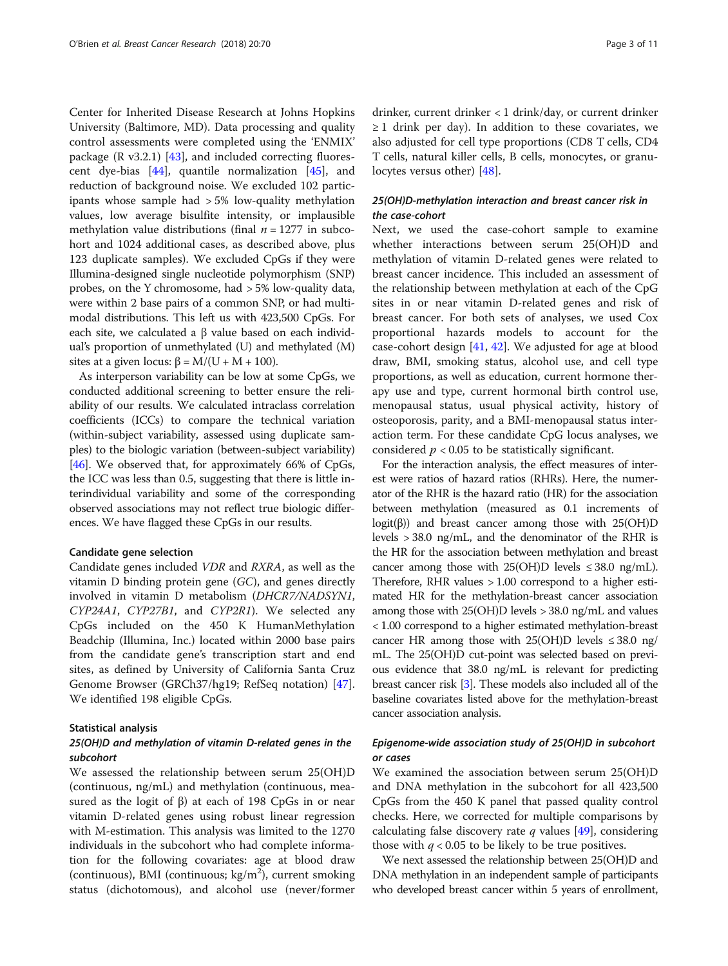Center for Inherited Disease Research at Johns Hopkins University (Baltimore, MD). Data processing and quality control assessments were completed using the 'ENMIX' package  $(R \text{ v3.2.1})$  [\[43](#page-10-0)], and included correcting fluorescent dye-bias [[44](#page-10-0)], quantile normalization [\[45](#page-10-0)], and reduction of background noise. We excluded 102 participants whose sample had > 5% low-quality methylation values, low average bisulfite intensity, or implausible methylation value distributions (final  $n = 1277$  in subcohort and 1024 additional cases, as described above, plus 123 duplicate samples). We excluded CpGs if they were Illumina-designed single nucleotide polymorphism (SNP) probes, on the Y chromosome, had > 5% low-quality data, were within 2 base pairs of a common SNP, or had multimodal distributions. This left us with 423,500 CpGs. For each site, we calculated a  $β$  value based on each individual's proportion of unmethylated (U) and methylated (M) sites at a given locus:  $\beta = M/(U + M + 100)$ .

As interperson variability can be low at some CpGs, we conducted additional screening to better ensure the reliability of our results. We calculated intraclass correlation coefficients (ICCs) to compare the technical variation (within-subject variability, assessed using duplicate samples) to the biologic variation (between-subject variability) [[46](#page-10-0)]. We observed that, for approximately 66% of CpGs, the ICC was less than 0.5, suggesting that there is little interindividual variability and some of the corresponding observed associations may not reflect true biologic differences. We have flagged these CpGs in our results.

#### Candidate gene selection

Candidate genes included VDR and RXRA, as well as the vitamin D binding protein gene (GC), and genes directly involved in vitamin D metabolism (DHCR7/NADSYN1, CYP24A1, CYP27B1, and CYP2R1). We selected any CpGs included on the 450 K HumanMethylation Beadchip (Illumina, Inc.) located within 2000 base pairs from the candidate gene's transcription start and end sites, as defined by University of California Santa Cruz Genome Browser (GRCh37/hg19; RefSeq notation) [\[47](#page-10-0)]. We identified 198 eligible CpGs.

#### Statistical analysis

## 25(OH)D and methylation of vitamin D-related genes in the subcohort

We assessed the relationship between serum 25(OH)D (continuous, ng/mL) and methylation (continuous, measured as the logit of  $β$ ) at each of 198 CpGs in or near vitamin D-related genes using robust linear regression with M-estimation. This analysis was limited to the 1270 individuals in the subcohort who had complete information for the following covariates: age at blood draw (continuous), BMI (continuous;  $kg/m^2$ ), current smoking status (dichotomous), and alcohol use (never/former drinker, current drinker < 1 drink/day, or current drinker  $\geq 1$  drink per day). In addition to these covariates, we also adjusted for cell type proportions (CD8 T cells, CD4 T cells, natural killer cells, B cells, monocytes, or granulocytes versus other) [[48\]](#page-10-0).

## 25(OH)D-methylation interaction and breast cancer risk in the case-cohort

Next, we used the case-cohort sample to examine whether interactions between serum 25(OH)D and methylation of vitamin D-related genes were related to breast cancer incidence. This included an assessment of the relationship between methylation at each of the CpG sites in or near vitamin D-related genes and risk of breast cancer. For both sets of analyses, we used Cox proportional hazards models to account for the case-cohort design [\[41](#page-10-0), [42\]](#page-10-0). We adjusted for age at blood draw, BMI, smoking status, alcohol use, and cell type proportions, as well as education, current hormone therapy use and type, current hormonal birth control use, menopausal status, usual physical activity, history of osteoporosis, parity, and a BMI-menopausal status interaction term. For these candidate CpG locus analyses, we considered  $p < 0.05$  to be statistically significant.

For the interaction analysis, the effect measures of interest were ratios of hazard ratios (RHRs). Here, the numerator of the RHR is the hazard ratio (HR) for the association between methylation (measured as 0.1 increments of logit( $\beta$ )) and breast cancer among those with 25(OH)D levels > 38.0 ng/mL, and the denominator of the RHR is the HR for the association between methylation and breast cancer among those with  $25(OH)D$  levels  $\leq 38.0 \text{ ng/mL}$ . Therefore, RHR values > 1.00 correspond to a higher estimated HR for the methylation-breast cancer association among those with 25(OH)D levels > 38.0 ng/mL and values < 1.00 correspond to a higher estimated methylation-breast cancer HR among those with  $25(OH)D$  levels  $\leq 38.0$  ng/ mL. The 25(OH)D cut-point was selected based on previous evidence that 38.0 ng/mL is relevant for predicting breast cancer risk [[3](#page-9-0)]. These models also included all of the baseline covariates listed above for the methylation-breast cancer association analysis.

## Epigenome-wide association study of 25(OH)D in subcohort or cases

We examined the association between serum 25(OH)D and DNA methylation in the subcohort for all 423,500 CpGs from the 450 K panel that passed quality control checks. Here, we corrected for multiple comparisons by calculating false discovery rate  $q$  values [[49\]](#page-10-0), considering those with  $q < 0.05$  to be likely to be true positives.

We next assessed the relationship between 25(OH)D and DNA methylation in an independent sample of participants who developed breast cancer within 5 years of enrollment,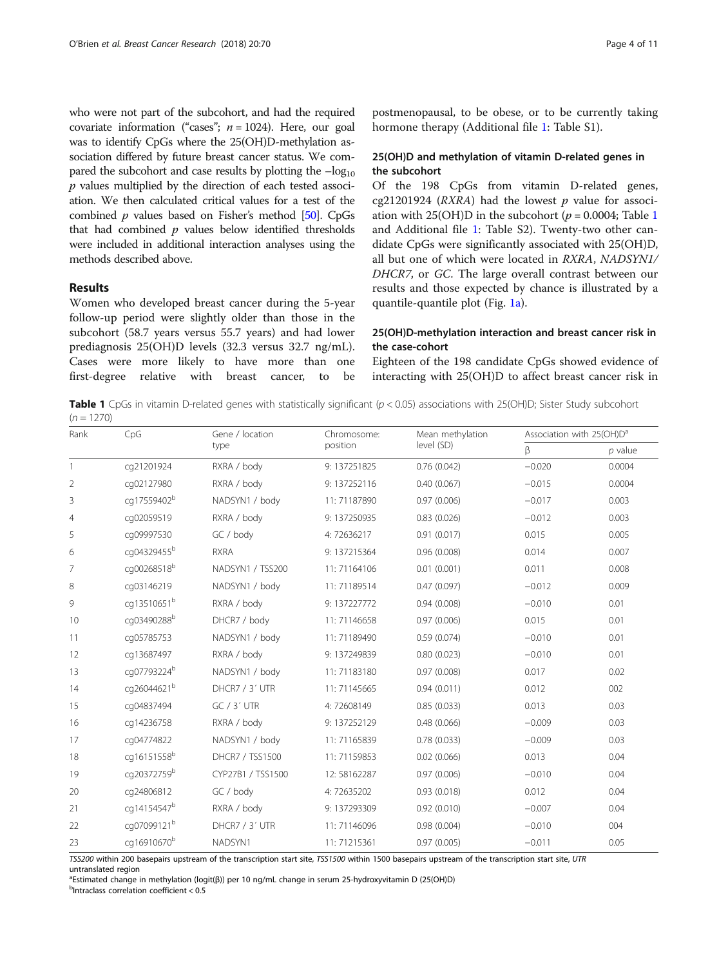who were not part of the subcohort, and had the required covariate information ("cases";  $n = 1024$ ). Here, our goal was to identify CpGs where the 25(OH)D-methylation association differed by future breast cancer status. We compared the subcohort and case results by plotting the  $-\log_{10}$  $p$  values multiplied by the direction of each tested association. We then calculated critical values for a test of the combined  $p$  values based on Fisher's method [\[50\]](#page-10-0). CpGs that had combined  $p$  values below identified thresholds were included in additional interaction analyses using the methods described above.

## Results

Women who developed breast cancer during the 5-year follow-up period were slightly older than those in the subcohort (58.7 years versus 55.7 years) and had lower prediagnosis 25(OH)D levels (32.3 versus 32.7 ng/mL). Cases were more likely to have more than one first-degree relative with breast cancer, to be

postmenopausal, to be obese, or to be currently taking hormone therapy (Additional file [1:](#page-8-0) Table S1).

## 25(OH)D and methylation of vitamin D-related genes in the subcohort

Of the 198 CpGs from vitamin D-related genes, cg21201924 ( $RXRA$ ) had the lowest  $p$  value for association with 25(OH)D in the subcohort ( $p = 0.0004$ ; Table 1 and Additional file [1](#page-8-0): Table S2). Twenty-two other candidate CpGs were significantly associated with 25(OH)D, all but one of which were located in RXRA, NADSYN1/ DHCR7, or GC. The large overall contrast between our results and those expected by chance is illustrated by a quantile-quantile plot (Fig. [1a](#page-4-0)).

## 25(OH)D-methylation interaction and breast cancer risk in the case-cohort

Eighteen of the 198 candidate CpGs showed evidence of interacting with 25(OH)D to affect breast cancer risk in

**Table 1** CpGs in vitamin D-related genes with statistically significant ( $p < 0.05$ ) associations with 25(OH)D; Sister Study subcohort  $(n = 1270)$ 

| Rank           | CpG                     | Gene / location   | Chromosome:  | Mean methylation | Association with 25(OH)D <sup>a</sup> |           |  |
|----------------|-------------------------|-------------------|--------------|------------------|---------------------------------------|-----------|--|
|                |                         | type              | position     | level (SD)       | β                                     | $p$ value |  |
| $\mathbf{1}$   | cq21201924              | RXRA / body       | 9:137251825  | 0.76(0.042)      | $-0.020$                              | 0.0004    |  |
| $\overline{2}$ | cq02127980              | RXRA / body       | 9:137252116  | 0.40(0.067)      | $-0.015$                              | 0.0004    |  |
| 3              | cq17559402 <sup>b</sup> | NADSYN1 / body    | 11:71187890  | 0.97(0.006)      | $-0.017$                              | 0.003     |  |
| $\overline{4}$ | cq02059519              | RXRA / body       | 9:137250935  | 0.83(0.026)      | $-0.012$                              | 0.003     |  |
| 5              | cq09997530              | GC / body         | 4:72636217   | 0.91(0.017)      | 0.015                                 | 0.005     |  |
| 6              | cg04329455 <sup>b</sup> | <b>RXRA</b>       | 9:137215364  | 0.96(0.008)      | 0.014                                 | 0.007     |  |
| 7              | cg00268518b             | NADSYN1 / TSS200  | 11:71164106  | 0.01(0.001)      | 0.011                                 | 0.008     |  |
| 8              | cq03146219              | NADSYN1 / body    | 11:71189514  | 0.47(0.097)      | $-0.012$                              | 0.009     |  |
| 9              | cg13510651 <sup>b</sup> | RXRA / body       | 9:137227772  | 0.94(0.008)      | $-0.010$                              | 0.01      |  |
| 10             | cg03490288b             | DHCR7 / body      | 11:71146658  | 0.97(0.006)      | 0.015                                 | 0.01      |  |
| 11             | cq05785753              | NADSYN1 / body    | 11:71189490  | 0.59(0.074)      | $-0.010$                              | 0.01      |  |
| 12             | cq13687497              | RXRA / body       | 9:137249839  | 0.80(0.023)      | $-0.010$                              | 0.01      |  |
| 13             | cg07793224 <sup>b</sup> | NADSYN1 / body    | 11:71183180  | 0.97(0.008)      | 0.017                                 | 0.02      |  |
| 14             | cg26044621 <sup>b</sup> | DHCR7 / 3' UTR    | 11: 71145665 | 0.94(0.011)      | 0.012                                 | 002       |  |
| 15             | cq04837494              | GC / 3' UTR       | 4:72608149   | 0.85(0.033)      | 0.013                                 | 0.03      |  |
| 16             | cq14236758              | RXRA / body       | 9:137252129  | 0.48(0.066)      | $-0.009$                              | 0.03      |  |
| 17             | cq04774822              | NADSYN1 / body    | 11:71165839  | 0.78(0.033)      | $-0.009$                              | 0.03      |  |
| 18             | cq16151558 <sup>b</sup> | DHCR7 / TSS1500   | 11:71159853  | 0.02(0.066)      | 0.013                                 | 0.04      |  |
| 19             | cq20372759 <sup>b</sup> | CYP27B1 / TSS1500 | 12:58162287  | 0.97(0.006)      | $-0.010$                              | 0.04      |  |
| 20             | cq24806812              | GC / body         | 4:72635202   | 0.93(0.018)      | 0.012                                 | 0.04      |  |
| 21             | cq14154547 <sup>b</sup> | RXRA / body       | 9:137293309  | 0.92(0.010)      | $-0.007$                              | 0.04      |  |
| 22             | cg07099121 <sup>b</sup> | DHCR7 / 3' UTR    | 11: 71146096 | 0.98(0.004)      | $-0.010$                              | 004       |  |
| 23             | cq16910670 <sup>b</sup> | NADSYN1           | 11: 71215361 | 0.97(0.005)      | $-0.011$                              | 0.05      |  |

TSS200 within 200 basepairs upstream of the transcription start site, TSS1500 within 1500 basepairs upstream of the transcription start site, UTR

untranslated region

<sup>a</sup>Estimated change in methylation (logit(β)) per 10 ng/mL change in serum 25-hydroxyvitamin D (25(OH)D)<br><sup>b</sup>Intraclass correlation coefficient < 0.5

 $<sub>b</sub>$ Intraclass correlation coefficient < 0.5</sub>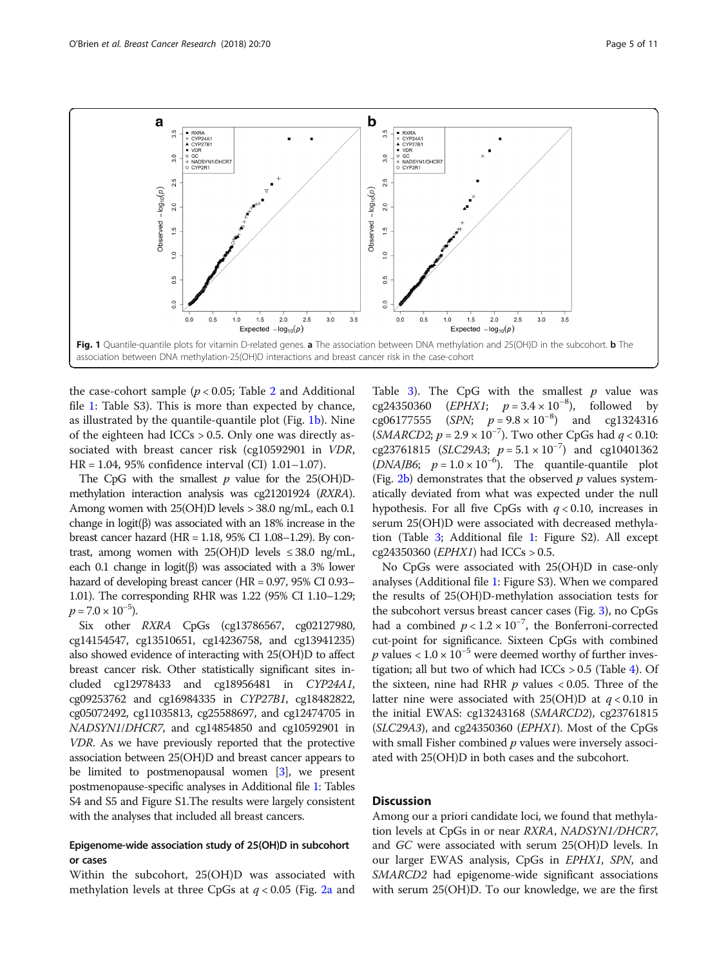<span id="page-4-0"></span>

the case-cohort sample ( $p < 0.05$ ; Table [2](#page-5-0) and Additional file [1:](#page-8-0) Table S3). This is more than expected by chance, as illustrated by the quantile-quantile plot (Fig. 1b). Nine of the eighteen had ICCs  $> 0.5$ . Only one was directly associated with breast cancer risk (cg10592901 in VDR, HR = 1.04, 95% confidence interval (CI) 1.01–1.07).

The CpG with the smallest  $p$  value for the 25(OH)Dmethylation interaction analysis was cg21201924 (RXRA). Among women with 25(OH)D levels > 38.0 ng/mL, each 0.1 change in logit(β) was associated with an 18% increase in the breast cancer hazard (HR = 1.18, 95% CI 1.08–1.29). By contrast, among women with  $25(OH)D$  levels  $\leq 38.0$  ng/mL, each 0.1 change in logit(β) was associated with a 3% lower hazard of developing breast cancer (HR = 0.97, 95% CI 0.93– 1.01). The corresponding RHR was 1.22 (95% CI 1.10–1.29;  $p = 7.0 \times 10^{-5}$ ).

Six other RXRA CpGs (cg13786567, cg02127980, cg14154547, cg13510651, cg14236758, and cg13941235) also showed evidence of interacting with 25(OH)D to affect breast cancer risk. Other statistically significant sites included cg12978433 and cg18956481 in CYP24A1, cg09253762 and cg16984335 in CYP27B1, cg18482822, cg05072492, cg11035813, cg25588697, and cg12474705 in NADSYN1/DHCR7, and cg14854850 and cg10592901 in VDR. As we have previously reported that the protective association between 25(OH)D and breast cancer appears to be limited to postmenopausal women [\[3](#page-9-0)], we present postmenopause-specific analyses in Additional file [1:](#page-8-0) Tables S4 and S5 and Figure S1.The results were largely consistent with the analyses that included all breast cancers.

## Epigenome-wide association study of 25(OH)D in subcohort or cases

Within the subcohort, 25(OH)D was associated with methylation levels at three CpGs at  $q < 0.05$  (Fig. [2a](#page-6-0) and Table [3\)](#page-6-0). The CpG with the smallest  $p$  value was cg24350360 (*EPHX1*;  $p = 3.4 \times 10^{-8}$ ), followed by cg06177555 (SPN;  $p = 9.8 \times 10^{-8}$ ) and cg1324316  $(SMARCD2; p = 2.9 \times 10^{-7})$ . Two other CpGs had  $q < 0.10$ : cg23761815 (SLC29A3;  $p = 5.1 \times 10^{-7}$ ) and cg10401362 (DNAJB6;  $p = 1.0 \times 10^{-6}$ ). The quantile-quantile plot (Fig.  $2b$ ) demonstrates that the observed p values systematically deviated from what was expected under the null hypothesis. For all five CpGs with  $q < 0.10$ , increases in serum 25(OH)D were associated with decreased methylation (Table [3;](#page-6-0) Additional file [1:](#page-8-0) Figure S2). All except cg24350360 (EPHX1) had ICCs > 0.5.

No CpGs were associated with 25(OH)D in case-only analyses (Additional file [1](#page-8-0): Figure S3). When we compared the results of 25(OH)D-methylation association tests for the subcohort versus breast cancer cases (Fig. [3\)](#page-7-0), no CpGs had a combined  $p < 1.2 \times 10^{-7}$ , the Bonferroni-corrected cut-point for significance. Sixteen CpGs with combined *p* values <  $1.0 \times 10^{-5}$  were deemed worthy of further investigation; all but two of which had  $ICCs > 0.5$  (Table [4\)](#page-8-0). Of the sixteen, nine had RHR  $p$  values < 0.05. Three of the latter nine were associated with 25(OH)D at  $q < 0.10$  in the initial EWAS: cg13243168 (SMARCD2), cg23761815  $(SLC29A3)$ , and cg24350360 (EPHX1). Most of the CpGs with small Fisher combined  $p$  values were inversely associated with 25(OH)D in both cases and the subcohort.

## **Discussion**

Among our a priori candidate loci, we found that methylation levels at CpGs in or near RXRA, NADSYN1/DHCR7, and GC were associated with serum 25(OH)D levels. In our larger EWAS analysis, CpGs in EPHX1, SPN, and SMARCD2 had epigenome-wide significant associations with serum 25(OH)D. To our knowledge, we are the first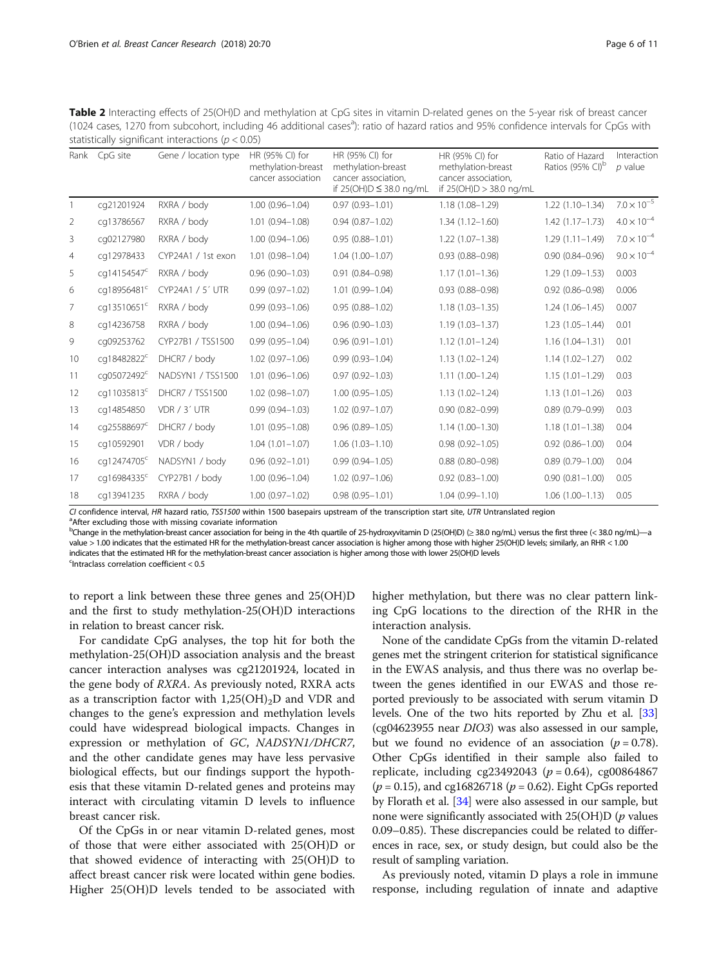<span id="page-5-0"></span>Table 2 Interacting effects of 25(OH)D and methylation at CpG sites in vitamin D-related genes on the 5-year risk of breast cancer (1024 cases, 1270 from subcohort, including 46 additional cases<sup>a</sup>): ratio of hazard ratios and 95% confidence intervals for CpGs with statistically significant interactions ( $p < 0.05$ )

| Rank | CpG site                | Gene / location type | HR (95% CI) for<br>methylation-breast<br>cancer association | HR (95% CI) for<br>methylation-breast<br>cancer association,<br>if 25(OH)D ≤ 38.0 ng/mL | HR (95% CI) for<br>methylation-breast<br>cancer association,<br>if 25(OH)D > 38.0 ng/mL | Ratio of Hazard<br>Ratios (95% CI) <sup>b</sup> | Interaction<br>$p$ value |
|------|-------------------------|----------------------|-------------------------------------------------------------|-----------------------------------------------------------------------------------------|-----------------------------------------------------------------------------------------|-------------------------------------------------|--------------------------|
|      | cq21201924              | RXRA / body          | $1.00(0.96 - 1.04)$                                         | $0.97(0.93 - 1.01)$                                                                     | $1.18(1.08 - 1.29)$                                                                     | $1.22(1.10-1.34)$                               | $7.0\times10^{-5}$       |
| 2    | cq13786567              | RXRA / body          | $1.01(0.94 - 1.08)$                                         | $0.94(0.87 - 1.02)$                                                                     | $1.34(1.12 - 1.60)$                                                                     | $1.42(1.17-1.73)$                               | $4.0 \times 10^{-4}$     |
| 3    | cq02127980              | RXRA / body          | $1.00(0.94 - 1.06)$                                         | $0.95(0.88 - 1.01)$                                                                     | $1.22(1.07 - 1.38)$                                                                     | $1.29(1.11 - 1.49)$                             | $7.0 \times 10^{-4}$     |
| 4    | cq12978433              | CYP24A1 / 1st exon   | $1.01(0.98 - 1.04)$                                         | $1.04(1.00 - 1.07)$                                                                     | $0.93(0.88 - 0.98)$                                                                     | $0.90(0.84 - 0.96)$                             | $9.0 \times 10^{-4}$     |
| 5    | cg14154547 <sup>c</sup> | RXRA / body          | $0.96(0.90 - 1.03)$                                         | $0.91(0.84 - 0.98)$                                                                     | $1.17(1.01 - 1.36)$                                                                     | 1.29 (1.09-1.53)                                | 0.003                    |
| 6    | cg18956481 <sup>c</sup> | CYP24A1 / 5' UTR     | $0.99(0.97 - 1.02)$                                         | $1.01(0.99 - 1.04)$                                                                     | $0.93(0.88 - 0.98)$                                                                     | $0.92(0.86 - 0.98)$                             | 0.006                    |
| 7    | cq13510651 <sup>c</sup> | RXRA / body          | $0.99(0.93 - 1.06)$                                         | $0.95(0.88 - 1.02)$                                                                     | $1.18(1.03 - 1.35)$                                                                     | $1.24(1.06 - 1.45)$                             | 0.007                    |
| 8    | cq14236758              | RXRA / body          | $1.00(0.94 - 1.06)$                                         | $0.96(0.90 - 1.03)$                                                                     | $1.19(1.03 - 1.37)$                                                                     | $1.23(1.05 - 1.44)$                             | 0.01                     |
| 9    | cq09253762              | CYP27B1 / TSS1500    | $0.99(0.95 - 1.04)$                                         | $0.96(0.91 - 1.01)$                                                                     | $1.12(1.01 - 1.24)$                                                                     | $1.16(1.04 - 1.31)$                             | 0.01                     |
| 10   | cg18482822 <sup>c</sup> | DHCR7 / body         | $1.02$ (0.97-1.06)                                          | $0.99(0.93 - 1.04)$                                                                     | $1.13(1.02 - 1.24)$                                                                     | $1.14(1.02 - 1.27)$                             | 0.02                     |
| 11   | cg05072492 <sup>c</sup> | NADSYN1 / TSS1500    | $1.01(0.96 - 1.06)$                                         | $0.97(0.92 - 1.03)$                                                                     | $1.11(1.00-1.24)$                                                                       | $1.15(1.01 - 1.29)$                             | 0.03                     |
| 12   | cq11035813 <sup>c</sup> | DHCR7 / TSS1500      | $1.02(0.98 - 1.07)$                                         | $1.00(0.95 - 1.05)$                                                                     | $1.13(1.02 - 1.24)$                                                                     | $1.13(1.01 - 1.26)$                             | 0.03                     |
| 13   | cq14854850              | VDR / 3' UTR         | $0.99(0.94 - 1.03)$                                         | $1.02(0.97 - 1.07)$                                                                     | $0.90(0.82 - 0.99)$                                                                     | $0.89(0.79 - 0.99)$                             | 0.03                     |
| 14   | cq25588697 <sup>c</sup> | DHCR7 / body         | $1.01(0.95 - 1.08)$                                         | $0.96(0.89 - 1.05)$                                                                     | $1.14(1.00 - 1.30)$                                                                     | $1.18(1.01 - 1.38)$                             | 0.04                     |
| 15   | cq10592901              | VDR / body           | $1.04(1.01 - 1.07)$                                         | $1.06(1.03 - 1.10)$                                                                     | $0.98(0.92 - 1.05)$                                                                     | $0.92(0.86 - 1.00)$                             | 0.04                     |
| 16   | cq12474705 <sup>c</sup> | NADSYN1 / body       | $0.96(0.92 - 1.01)$                                         | $0.99(0.94 - 1.05)$                                                                     | $0.88$ $(0.80 - 0.98)$                                                                  | $0.89(0.79 - 1.00)$                             | 0.04                     |
| 17   | cg16984335 <sup>c</sup> | CYP27B1 / body       | $1.00(0.96 - 1.04)$                                         | $1.02(0.97 - 1.06)$                                                                     | $0.92$ $(0.83 - 1.00)$                                                                  | $0.90(0.81 - 1.00)$                             | 0.05                     |
| 18   | cq13941235              | RXRA / body          | $1.00(0.97 - 1.02)$                                         | $0.98(0.95 - 1.01)$                                                                     | $1.04(0.99 - 1.10)$                                                                     | $1.06(1.00-1.13)$                               | 0.05                     |
|      |                         |                      |                                                             |                                                                                         |                                                                                         |                                                 |                          |

CI confidence interval, HR hazard ratio, TSS1500 within 1500 basepairs upstream of the transcription start site, UTR Untranslated region <sup>a</sup> After excluding those with missing covariate information

<sup>b</sup>Change in the methylation-breast cancer association for being in the 4th quartile of 25-hydroxyvitamin D (25(OH)D) (≥ 38.0 ng/mL) versus the first three (< 38.0 ng/mL)—a value > 1.00 indicates that the estimated HR for the methylation-breast cancer association is higher among those with higher 25(OH)D levels; similarly, an RHR < 1.00 indicates that the estimated HR for the methylation-breast cancer association is higher among those with lower 25(OH)D levels

<sup>c</sup>Intraclass correlation coefficient < 0.5

to report a link between these three genes and 25(OH)D and the first to study methylation-25(OH)D interactions in relation to breast cancer risk.

For candidate CpG analyses, the top hit for both the methylation-25(OH)D association analysis and the breast cancer interaction analyses was cg21201924, located in the gene body of RXRA. As previously noted, RXRA acts as a transcription factor with  $1,25(OH)_2D$  and VDR and changes to the gene's expression and methylation levels could have widespread biological impacts. Changes in expression or methylation of GC, NADSYN1/DHCR7, and the other candidate genes may have less pervasive biological effects, but our findings support the hypothesis that these vitamin D-related genes and proteins may interact with circulating vitamin D levels to influence breast cancer risk.

Of the CpGs in or near vitamin D-related genes, most of those that were either associated with 25(OH)D or that showed evidence of interacting with 25(OH)D to affect breast cancer risk were located within gene bodies. Higher 25(OH)D levels tended to be associated with

higher methylation, but there was no clear pattern linking CpG locations to the direction of the RHR in the interaction analysis.

None of the candidate CpGs from the vitamin D-related genes met the stringent criterion for statistical significance in the EWAS analysis, and thus there was no overlap between the genes identified in our EWAS and those reported previously to be associated with serum vitamin D levels. One of the two hits reported by Zhu et al. [[33](#page-10-0)] (cg04623955 near DIO3) was also assessed in our sample, but we found no evidence of an association ( $p = 0.78$ ). Other CpGs identified in their sample also failed to replicate, including cg23492043 ( $p = 0.64$ ), cg00864867  $(p = 0.15)$ , and cg16826718  $(p = 0.62)$ . Eight CpGs reported by Florath et al. [\[34](#page-10-0)] were also assessed in our sample, but none were significantly associated with  $25(OH)D(p)$  values 0.09–0.85). These discrepancies could be related to differences in race, sex, or study design, but could also be the result of sampling variation.

As previously noted, vitamin D plays a role in immune response, including regulation of innate and adaptive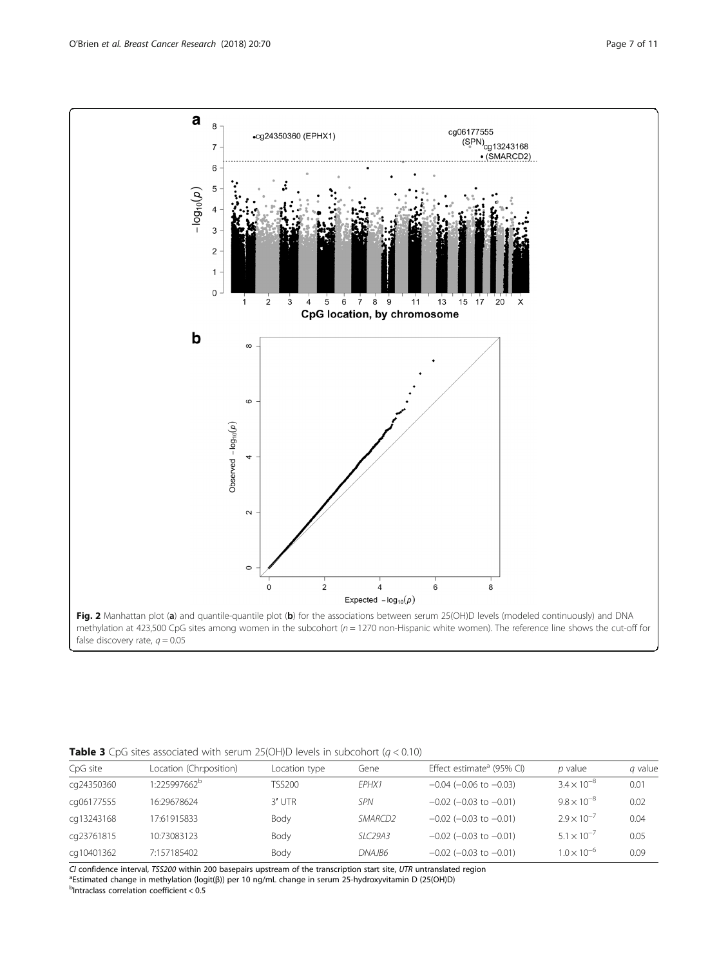<span id="page-6-0"></span>

| CpG site   | Location (Chr:position)  | Location type | Gene       | Effect estimate <sup>a</sup> (95% CI) | $p$ value            | <i>a</i> value |
|------------|--------------------------|---------------|------------|---------------------------------------|----------------------|----------------|
| cq24350360 | 1:225997662 <sup>b</sup> | TSS200        | FPHX1      | $-0.04$ ( $-0.06$ to $-0.03$ )        | $3.4 \times 10^{-8}$ | 0.01           |
| cg06177555 | 16:29678624              | $3'$ UTR      | <b>SPN</b> | $-0.02$ ( $-0.03$ to $-0.01$ )        | $9.8 \times 10^{-8}$ | 0.02           |
| cq13243168 | 17:61915833              | Body          | SMARCD2    | $-0.02$ ( $-0.03$ to $-0.01$ )        | $2.9 \times 10^{-7}$ | 0.04           |
| cq23761815 | 10:73083123              | Body          | SLC29A3    | $-0.02$ ( $-0.03$ to $-0.01$ )        | $5.1 \times 10^{-7}$ | 0.05           |
| cq10401362 | 7:157185402              | Body          | DNA IB6    | $-0.02$ ( $-0.03$ to $-0.01$ )        | $1.0 \times 10^{-6}$ | 0.09           |

CI confidence interval, TSS200 within 200 basepairs upstream of the transcription start site, UTR untranslated region <sup>a</sup>Estimated change in methylation (logit(β)) per 10 ng/mL change in serum 25-hydroxyvitamin D (25(OH)D)

 $b$ Intraclass correlation coefficient <  $0.5$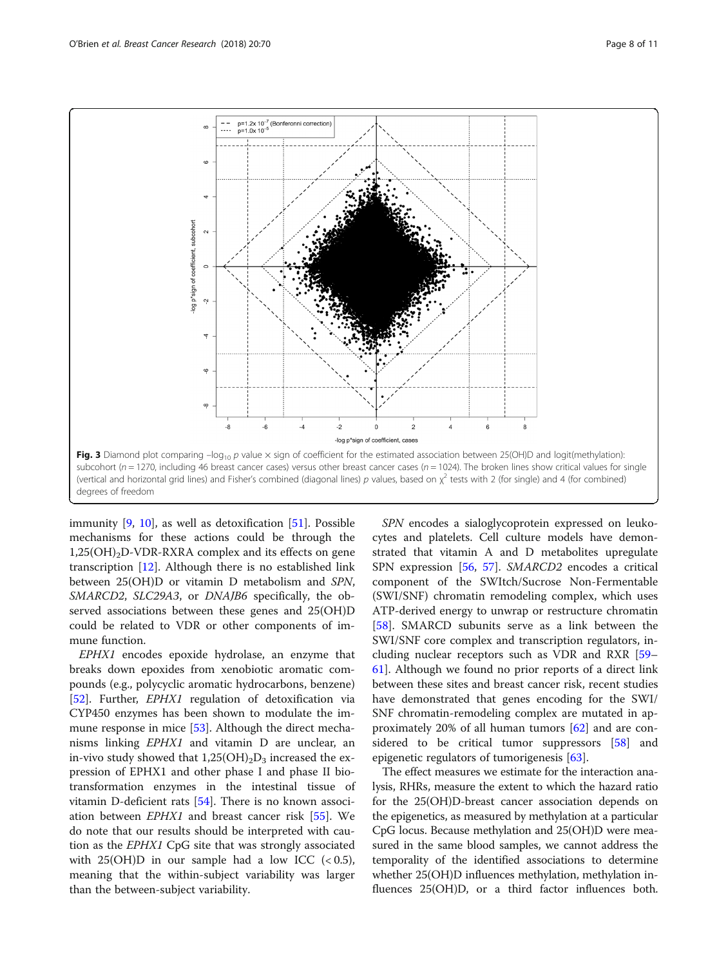<span id="page-7-0"></span>

immunity [\[9](#page-9-0), [10\]](#page-9-0), as well as detoxification [[51\]](#page-10-0). Possible mechanisms for these actions could be through the  $1,25(OH)_{2}D$ -VDR-RXRA complex and its effects on gene transcription [\[12](#page-9-0)]. Although there is no established link between 25(OH)D or vitamin D metabolism and SPN, SMARCD2, SLC29A3, or DNAJB6 specifically, the observed associations between these genes and 25(OH)D could be related to VDR or other components of immune function.

EPHX1 encodes epoxide hydrolase, an enzyme that breaks down epoxides from xenobiotic aromatic compounds (e.g., polycyclic aromatic hydrocarbons, benzene) [[52\]](#page-10-0). Further, EPHX1 regulation of detoxification via CYP450 enzymes has been shown to modulate the immune response in mice [\[53](#page-10-0)]. Although the direct mechanisms linking EPHX1 and vitamin D are unclear, an in-vivo study showed that  $1,25(OH)_2D_3$  increased the expression of EPHX1 and other phase I and phase II biotransformation enzymes in the intestinal tissue of vitamin D-deficient rats [[54\]](#page-10-0). There is no known association between EPHX1 and breast cancer risk [[55](#page-10-0)]. We do note that our results should be interpreted with caution as the EPHX1 CpG site that was strongly associated with  $25(OH)D$  in our sample had a low ICC  $(< 0.5)$ , meaning that the within-subject variability was larger than the between-subject variability.

SPN encodes a sialoglycoprotein expressed on leukocytes and platelets. Cell culture models have demonstrated that vitamin A and D metabolites upregulate SPN expression [\[56](#page-10-0), [57\]](#page-10-0). SMARCD2 encodes a critical component of the SWItch/Sucrose Non-Fermentable (SWI/SNF) chromatin remodeling complex, which uses ATP-derived energy to unwrap or restructure chromatin [[58\]](#page-10-0). SMARCD subunits serve as a link between the SWI/SNF core complex and transcription regulators, including nuclear receptors such as VDR and RXR [[59](#page-10-0)– [61\]](#page-10-0). Although we found no prior reports of a direct link between these sites and breast cancer risk, recent studies have demonstrated that genes encoding for the SWI/ SNF chromatin-remodeling complex are mutated in approximately 20% of all human tumors [\[62\]](#page-10-0) and are considered to be critical tumor suppressors [[58\]](#page-10-0) and epigenetic regulators of tumorigenesis [[63\]](#page-10-0).

The effect measures we estimate for the interaction analysis, RHRs, measure the extent to which the hazard ratio for the 25(OH)D-breast cancer association depends on the epigenetics, as measured by methylation at a particular CpG locus. Because methylation and 25(OH)D were measured in the same blood samples, we cannot address the temporality of the identified associations to determine whether 25(OH)D influences methylation, methylation influences 25(OH)D, or a third factor influences both.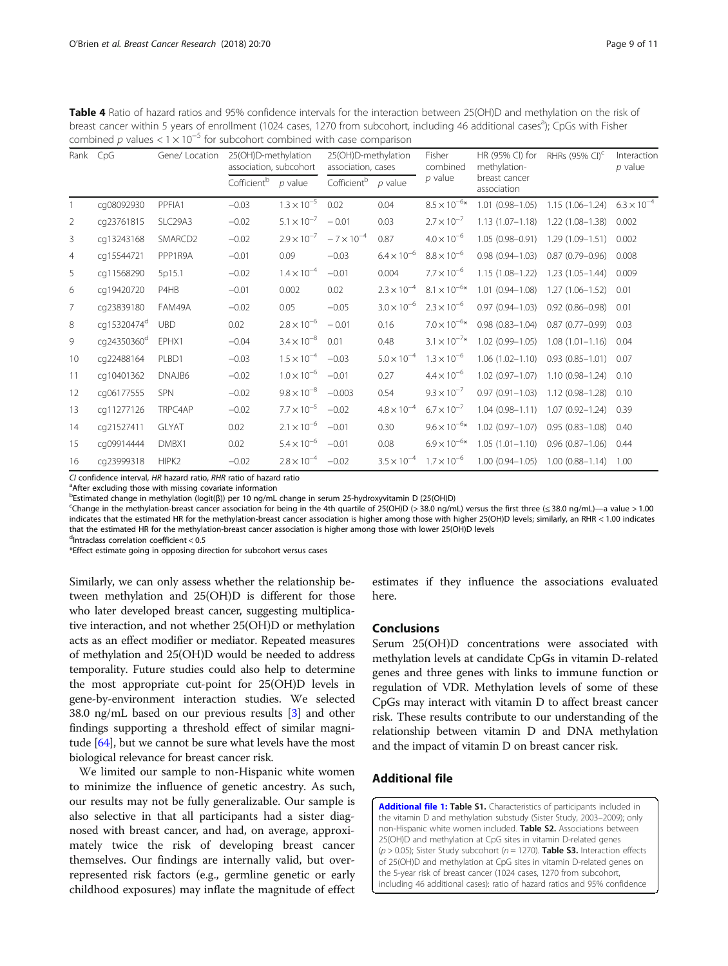| Page 9 of 11 |  |  |  |  |
|--------------|--|--|--|--|
|--------------|--|--|--|--|

<span id="page-8-0"></span>

| Table 4 Ratio of hazard ratios and 95% confidence intervals for the interaction between 25(OH)D and methylation on the risk of              |
|---------------------------------------------------------------------------------------------------------------------------------------------|
| breast cancer within 5 years of enrollment (1024 cases, 1270 from subcohort, including 46 additional cases <sup>3</sup> ); CpGs with Fisher |
| combined p values $< 1 \times 10^{-5}$ for subcohort combined with case comparison                                                          |

| Rank           | CpG                     | Gene/ Location | 25(OH)D-methylation<br>association, subcohort |                      | 25(OH)D-methylation<br>association, cases |                      | Fisher<br>combined    | HR (95% CI) for<br>methylation- | RHRs (95% CI) <sup>c</sup> | Interaction<br>$p$ value |
|----------------|-------------------------|----------------|-----------------------------------------------|----------------------|-------------------------------------------|----------------------|-----------------------|---------------------------------|----------------------------|--------------------------|
|                |                         |                | Cofficientb                                   | $p$ value            | Cofficientb                               | $p$ value            | $p$ value             | breast cancer<br>association    |                            |                          |
|                | cq08092930              | PPFIA1         | $-0.03$                                       | $1.3 \times 10^{-5}$ | 0.02                                      | 0.04                 | $8.5\times10^{-6*}$   | $1.01(0.98 - 1.05)$             | $1.15(1.06 - 1.24)$        | $6.3 \times 10^{-4}$     |
| 2              | cq23761815              | SLC29A3        | $-0.02$                                       | $5.1 \times 10^{-7}$ | $-0.01$                                   | 0.03                 | $2.7 \times 10^{-7}$  | $1.13(1.07 - 1.18)$             | $1.22(1.08 - 1.38)$        | 0.002                    |
| 3              | cq13243168              | SMARCD2        | $-0.02$                                       | $2.9 \times 10^{-7}$ | $-7 \times 10^{-4}$                       | 0.87                 | $4.0 \times 10^{-6}$  | 1.05 (0.98-0.91)                | $1.29(1.09 - 1.51)$        | 0.002                    |
| $\overline{4}$ | cq15544721              | PPP1R9A        | $-0.01$                                       | 0.09                 | $-0.03$                                   | $6.4 \times 10^{-6}$ | $8.8 \times 10^{-6}$  | $0.98(0.94 - 1.03)$             | $0.87(0.79 - 0.96)$        | 0.008                    |
| 5              | cq11568290              | 5p15.1         | $-0.02$                                       | $1.4 \times 10^{-4}$ | $-0.01$                                   | 0.004                | $7.7 \times 10^{-6}$  | $1.15(1.08 - 1.22)$             | $1.23(1.05 - 1.44)$        | 0.009                    |
| 6              | cq19420720              | P4HB           | $-0.01$                                       | 0.002                | 0.02                                      | $2.3 \times 10^{-4}$ | $8.1 \times 10^{-6*}$ | $1.01(0.94 - 1.08)$             | $1.27(1.06 - 1.52)$        | 0.01                     |
| $\overline{7}$ | cq23839180              | FAM49A         | $-0.02$                                       | 0.05                 | $-0.05$                                   | $3.0 \times 10^{-6}$ | $2.3 \times 10^{-6}$  | $0.97(0.94 - 1.03)$             | $0.92(0.86 - 0.98)$        | 0.01                     |
| 8              | cg15320474 <sup>d</sup> | UBD            | 0.02                                          | $2.8 \times 10^{-6}$ | $-0.01$                                   | 0.16                 | $7.0 \times 10^{-6*}$ | $0.98(0.83 - 1.04)$             | $0.87(0.77 - 0.99)$        | 0.03                     |
| 9              | cg24350360 <sup>d</sup> | EPHX1          | $-0.04$                                       | $3.4 \times 10^{-8}$ | 0.01                                      | 0.48                 | $3.1 \times 10^{-7*}$ | 1.02 (0.99-1.05)                | $1.08(1.01 - 1.16)$        | 0.04                     |
| 10             | cq22488164              | PLBD1          | $-0.03$                                       | $1.5 \times 10^{-4}$ | $-0.03$                                   | $5.0 \times 10^{-4}$ | $1.3 \times 10^{-6}$  | $1.06(1.02 - 1.10)$             | $0.93(0.85 - 1.01)$        | 0.07                     |
| 11             | cq10401362              | DNAJB6         | $-0.02$                                       | $1.0 \times 10^{-6}$ | $-0.01$                                   | 0.27                 | $4.4 \times 10^{-6}$  | $1.02(0.97 - 1.07)$             | $1.10(0.98 - 1.24)$        | 0.10                     |
| 12             | cg06177555              | <b>SPN</b>     | $-0.02$                                       | $9.8\times10^{-8}$   | $-0.003$                                  | 0.54                 | $9.3 \times 10^{-7}$  | $0.97(0.91 - 1.03)$             | $1.12(0.98 - 1.28)$        | 0.10                     |
| 13             | cq11277126              | TRPC4AP        | $-0.02$                                       | $7.7 \times 10^{-5}$ | $-0.02$                                   | $4.8 \times 10^{-4}$ | $6.7 \times 10^{-7}$  | $1.04(0.98 - 1.11)$             | $1.07(0.92 - 1.24)$        | 0.39                     |
| 14             | cq21527411              | <b>GLYAT</b>   | 0.02                                          | $2.1 \times 10^{-6}$ | $-0.01$                                   | 0.30                 | $9.6 \times 10^{-6*}$ | $1.02(0.97 - 1.07)$             | $0.95(0.83 - 1.08)$        | 0.40                     |
| 15             | cq09914444              | DMBX1          | 0.02                                          | $5.4 \times 10^{-6}$ | $-0.01$                                   | 0.08                 | $6.9 \times 10^{-6*}$ | $1.05(1.01 - 1.10)$             | $0.96$ $(0.87 - 1.06)$     | 0.44                     |
| 16             | cq23999318              | HIPK2          | $-0.02$                                       | $2.8 \times 10^{-4}$ | $-0.02$                                   | $3.5 \times 10^{-4}$ | $1.7 \times 10^{-6}$  | $1.00(0.94 - 1.05)$             | $1.00(0.88 - 1.14)$        | 1.00                     |

CL confidence interval, HR hazard ratio, RHR ratio of hazard ratio

<sup>a</sup> After excluding those with missing covariate information

b<br>Estimated change in methylation (logit(β)) per 10 ng/mL change in serum 25-hydroxyvitamin D (25(OH)D)<br>SChange in the methylation-breast cancer association for being in the 4th quartile of 25(OH)D (> 38.0 ng/m

<sup>c</sup>Change in the methylation-breast cancer association for being in the 4th quartile of 25(OH)D (> 38.0 ng/mL) versus the first three ( $\leq$  38.0 ng/mL)—a value > 1.00 indicates that the estimated HR for the methylation-breast cancer association is higher among those with higher 25(OH)D levels; similarly, an RHR < 1.00 indicates that the estimated HR for the methylation-breast cancer association is higher among those with lower 25(OH)D levels

d Intraclass correlation coefficient < 0.5

\*Effect estimate going in opposing direction for subcohort versus cases

Similarly, we can only assess whether the relationship between methylation and 25(OH)D is different for those who later developed breast cancer, suggesting multiplicative interaction, and not whether 25(OH)D or methylation acts as an effect modifier or mediator. Repeated measures of methylation and 25(OH)D would be needed to address temporality. Future studies could also help to determine the most appropriate cut-point for 25(OH)D levels in gene-by-environment interaction studies. We selected 38.0 ng/mL based on our previous results [\[3](#page-9-0)] and other findings supporting a threshold effect of similar magnitude [\[64\]](#page-10-0), but we cannot be sure what levels have the most biological relevance for breast cancer risk.

We limited our sample to non-Hispanic white women to minimize the influence of genetic ancestry. As such, our results may not be fully generalizable. Our sample is also selective in that all participants had a sister diagnosed with breast cancer, and had, on average, approximately twice the risk of developing breast cancer themselves. Our findings are internally valid, but overrepresented risk factors (e.g., germline genetic or early childhood exposures) may inflate the magnitude of effect

estimates if they influence the associations evaluated here.

## Conclusions

Serum 25(OH)D concentrations were associated with methylation levels at candidate CpGs in vitamin D-related genes and three genes with links to immune function or regulation of VDR. Methylation levels of some of these CpGs may interact with vitamin D to affect breast cancer risk. These results contribute to our understanding of the relationship between vitamin D and DNA methylation and the impact of vitamin D on breast cancer risk.

## Additional file

[Additional file 1:](https://doi.org/10.1186/s13058-018-0994-y) Table S1. Characteristics of participants included in the vitamin D and methylation substudy (Sister Study, 2003–2009); only non-Hispanic white women included. Table S2. Associations between 25(OH)D and methylation at CpG sites in vitamin D-related genes  $(p > 0.05)$ ; Sister Study subcohort ( $n = 1270$ ). Table S3. Interaction effects of 25(OH)D and methylation at CpG sites in vitamin D-related genes on the 5-year risk of breast cancer (1024 cases, 1270 from subcohort, including 46 additional cases): ratio of hazard ratios and 95% confidence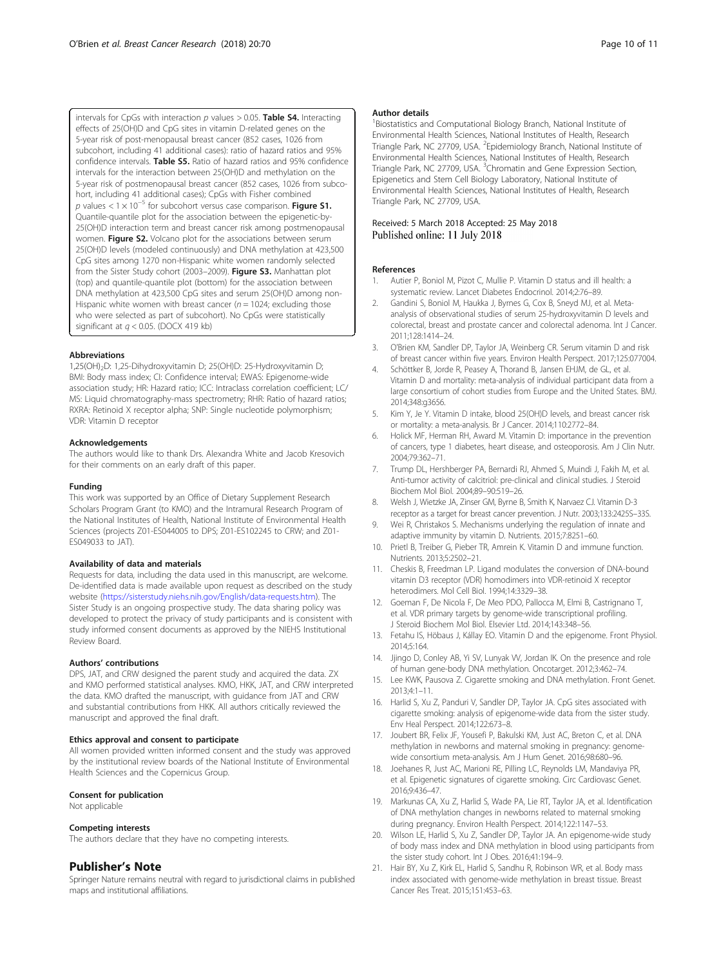<span id="page-9-0"></span>intervals for CpGs with interaction  $p$  values  $> 0.05$ . Table S4. Interacting effects of 25(OH)D and CpG sites in vitamin D-related genes on the 5-year risk of post-menopausal breast cancer (852 cases, 1026 from subcohort, including 41 additional cases): ratio of hazard ratios and 95% confidence intervals. Table S5. Ratio of hazard ratios and 95% confidence intervals for the interaction between 25(OH)D and methylation on the 5-year risk of postmenopausal breast cancer (852 cases, 1026 from subcohort, including 41 additional cases); CpGs with Fisher combined p values <  $1 \times 10^{-5}$  for subcohort versus case comparison. Figure S1. Quantile-quantile plot for the association between the epigenetic-by-25(OH)D interaction term and breast cancer risk among postmenopausal women. Figure S2. Volcano plot for the associations between serum 25(OH)D levels (modeled continuously) and DNA methylation at 423,500 CpG sites among 1270 non-Hispanic white women randomly selected from the Sister Study cohort (2003–2009). Figure S3. Manhattan plot (top) and quantile-quantile plot (bottom) for the association between DNA methylation at 423,500 CpG sites and serum 25(OH)D among non-Hispanic white women with breast cancer ( $n = 1024$ ; excluding those who were selected as part of subcohort). No CpGs were statistically significant at  $q < 0.05$ . (DOCX 419 kb)

#### Abbreviations

1,25(OH)2D: 1,25-Dihydroxyvitamin D; 25(OH)D: 25-Hydroxyvitamin D; BMI: Body mass index; CI: Confidence interval; EWAS: Epigenome-wide association study; HR: Hazard ratio; ICC: Intraclass correlation coefficient; LC/ MS: Liquid chromatography-mass spectrometry; RHR: Ratio of hazard ratios; RXRA: Retinoid X receptor alpha; SNP: Single nucleotide polymorphism; VDR: Vitamin D receptor

#### Acknowledgements

The authors would like to thank Drs. Alexandra White and Jacob Kresovich for their comments on an early draft of this paper.

#### Funding

This work was supported by an Office of Dietary Supplement Research Scholars Program Grant (to KMO) and the Intramural Research Program of the National Institutes of Health, National Institute of Environmental Health Sciences (projects Z01-ES044005 to DPS; Z01-ES102245 to CRW; and Z01- ES049033 to JAT).

#### Availability of data and materials

Requests for data, including the data used in this manuscript, are welcome. De-identified data is made available upon request as described on the study website [\(https://sisterstudy.niehs.nih.gov/English/data-requests.htm](https://sisterstudy.niehs.nih.gov/English/data-requests.htm)). The Sister Study is an ongoing prospective study. The data sharing policy was developed to protect the privacy of study participants and is consistent with study informed consent documents as approved by the NIEHS Institutional Review Board.

#### Authors' contributions

DPS, JAT, and CRW designed the parent study and acquired the data. ZX and KMO performed statistical analyses. KMO, HKK, JAT, and CRW interpreted the data. KMO drafted the manuscript, with guidance from JAT and CRW and substantial contributions from HKK. All authors critically reviewed the manuscript and approved the final draft.

#### Ethics approval and consent to participate

All women provided written informed consent and the study was approved by the institutional review boards of the National Institute of Environmental Health Sciences and the Copernicus Group.

#### Consent for publication

Not applicable

#### Competing interests

The authors declare that they have no competing interests.

#### Publisher's Note

Springer Nature remains neutral with regard to jurisdictional claims in published maps and institutional affiliations.

#### Author details

<sup>1</sup> Biostatistics and Computational Biology Branch, National Institute of Environmental Health Sciences, National Institutes of Health, Research Triangle Park, NC 27709, USA. <sup>2</sup>Epidemiology Branch, National Institute of Environmental Health Sciences, National Institutes of Health, Research Triangle Park, NC 27709, USA. <sup>3</sup>Chromatin and Gene Expression Section, Epigenetics and Stem Cell Biology Laboratory, National Institute of Environmental Health Sciences, National Institutes of Health, Research Triangle Park, NC 27709, USA.

#### Received: 5 March 2018 Accepted: 25 May 2018 Published online: 11 July 2018

#### References

- 1. Autier P, Boniol M, Pizot C, Mullie P. Vitamin D status and ill health: a systematic review. Lancet Diabetes Endocrinol. 2014;2:76–89.
- 2. Gandini S, Boniol M, Haukka J, Byrnes G, Cox B, Sneyd MJ, et al. Metaanalysis of observational studies of serum 25-hydroxyvitamin D levels and colorectal, breast and prostate cancer and colorectal adenoma. Int J Cancer. 2011;128:1414–24.
- 3. O'Brien KM, Sandler DP, Taylor JA, Weinberg CR. Serum vitamin D and risk of breast cancer within five years. Environ Health Perspect. 2017;125:077004.
- Schöttker B, Jorde R, Peasey A, Thorand B, Jansen EHJM, de GL, et al. Vitamin D and mortality: meta-analysis of individual participant data from a large consortium of cohort studies from Europe and the United States. BMJ. 2014;348:g3656.
- 5. Kim Y, Je Y. Vitamin D intake, blood 25(OH)D levels, and breast cancer risk or mortality: a meta-analysis. Br J Cancer. 2014;110:2772–84.
- 6. Holick MF, Herman RH, Award M. Vitamin D: importance in the prevention of cancers, type 1 diabetes, heart disease, and osteoporosis. Am J Clin Nutr. 2004;79:362–71.
- Trump DL, Hershberger PA, Bernardi RJ, Ahmed S, Muindi J, Fakih M, et al. Anti-tumor activity of calcitriol: pre-clinical and clinical studies. J Steroid Biochem Mol Biol. 2004;89–90:519–26.
- 8. Welsh J, Wietzke JA, Zinser GM, Byrne B, Smith K, Narvaez CJ. Vitamin D-3 receptor as a target for breast cancer prevention. J Nutr. 2003;133:2425S–33S.
- 9. Wei R, Christakos S. Mechanisms underlying the regulation of innate and adaptive immunity by vitamin D. Nutrients. 2015;7:8251–60.
- Prietl B, Treiber G, Pieber TR, Amrein K. Vitamin D and immune function. Nutrients. 2013;5:2502–21.
- 11. Cheskis B, Freedman LP. Ligand modulates the conversion of DNA-bound vitamin D3 receptor (VDR) homodimers into VDR-retinoid X receptor heterodimers. Mol Cell Biol. 1994;14:3329–38.
- 12. Goeman F, De Nicola F, De Meo PDO, Pallocca M, Elmi B, Castrignano T, et al. VDR primary targets by genome-wide transcriptional profiling. J Steroid Biochem Mol Biol. Elsevier Ltd. 2014;143:348–56.
- 13. Fetahu IS, Höbaus J, Kállay EO. Vitamin D and the epigenome. Front Physiol. 2014;5:164.
- 14. Jjingo D, Conley AB, Yi SV, Lunyak VV, Jordan IK. On the presence and role of human gene-body DNA methylation. Oncotarget. 2012;3:462–74.
- 15. Lee KWK, Pausova Z. Cigarette smoking and DNA methylation. Front Genet. 2013;4:1–11.
- 16. Harlid S, Xu Z, Panduri V, Sandler DP, Taylor JA. CpG sites associated with cigarette smoking: analysis of epigenome-wide data from the sister study. Env Heal Perspect. 2014;122:673–8.
- 17. Joubert BR, Felix JF, Yousefi P, Bakulski KM, Just AC, Breton C, et al. DNA methylation in newborns and maternal smoking in pregnancy: genomewide consortium meta-analysis. Am J Hum Genet. 2016;98:680–96.
- 18. Joehanes R, Just AC, Marioni RE, Pilling LC, Reynolds LM, Mandaviya PR, et al. Epigenetic signatures of cigarette smoking. Circ Cardiovasc Genet. 2016;9:436–47.
- 19. Markunas CA, Xu Z, Harlid S, Wade PA, Lie RT, Taylor JA, et al. Identification of DNA methylation changes in newborns related to maternal smoking during pregnancy. Environ Health Perspect. 2014;122:1147–53.
- 20. Wilson LE, Harlid S, Xu Z, Sandler DP, Taylor JA. An epigenome-wide study of body mass index and DNA methylation in blood using participants from the sister study cohort. Int J Obes. 2016;41:194–9.
- 21. Hair BY, Xu Z, Kirk EL, Harlid S, Sandhu R, Robinson WR, et al. Body mass index associated with genome-wide methylation in breast tissue. Breast Cancer Res Treat. 2015;151:453–63.